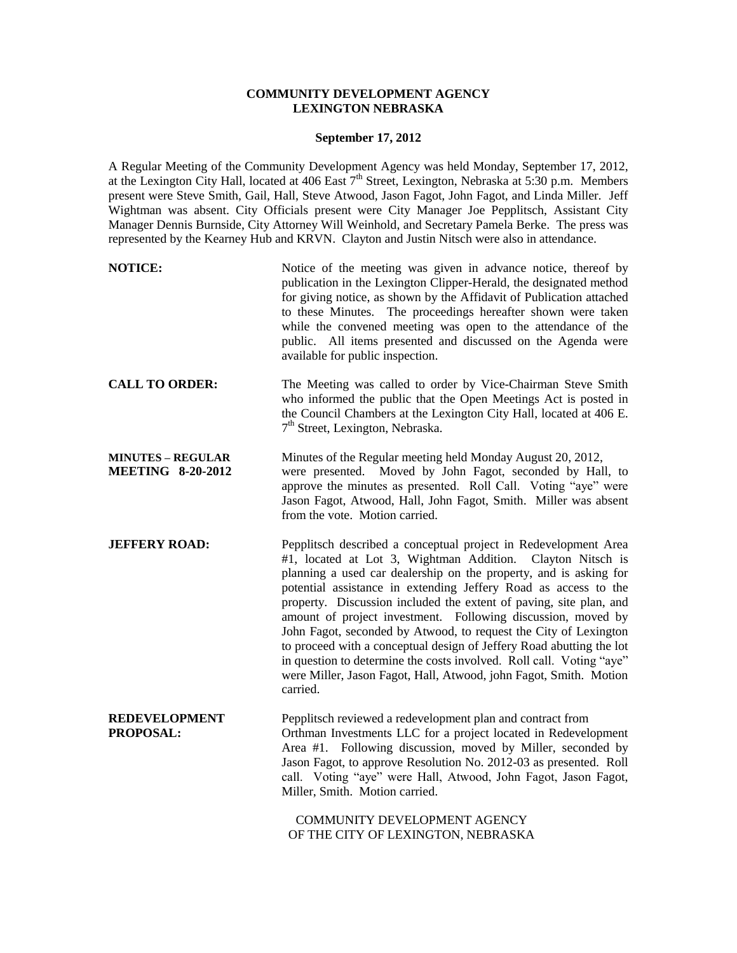## **COMMUNITY DEVELOPMENT AGENCY LEXINGTON NEBRASKA**

#### **September 17, 2012**

A Regular Meeting of the Community Development Agency was held Monday, September 17, 2012, at the Lexington City Hall, located at 406 East 7<sup>th</sup> Street, Lexington, Nebraska at 5:30 p.m. Members present were Steve Smith, Gail, Hall, Steve Atwood, Jason Fagot, John Fagot, and Linda Miller. Jeff Wightman was absent. City Officials present were City Manager Joe Pepplitsch, Assistant City Manager Dennis Burnside, City Attorney Will Weinhold, and Secretary Pamela Berke. The press was represented by the Kearney Hub and KRVN. Clayton and Justin Nitsch were also in attendance.

| <b>NOTICE:</b>                                       | Notice of the meeting was given in advance notice, thereof by<br>publication in the Lexington Clipper-Herald, the designated method<br>for giving notice, as shown by the Affidavit of Publication attached<br>to these Minutes. The proceedings hereafter shown were taken<br>while the convened meeting was open to the attendance of the<br>public. All items presented and discussed on the Agenda were<br>available for public inspection.                                                                                                                                                                                                                                                                     |
|------------------------------------------------------|---------------------------------------------------------------------------------------------------------------------------------------------------------------------------------------------------------------------------------------------------------------------------------------------------------------------------------------------------------------------------------------------------------------------------------------------------------------------------------------------------------------------------------------------------------------------------------------------------------------------------------------------------------------------------------------------------------------------|
| <b>CALL TO ORDER:</b>                                | The Meeting was called to order by Vice-Chairman Steve Smith<br>who informed the public that the Open Meetings Act is posted in<br>the Council Chambers at the Lexington City Hall, located at 406 E.<br>7 <sup>th</sup> Street, Lexington, Nebraska.                                                                                                                                                                                                                                                                                                                                                                                                                                                               |
| <b>MINUTES - REGULAR</b><br><b>MEETING 8-20-2012</b> | Minutes of the Regular meeting held Monday August 20, 2012,<br>were presented. Moved by John Fagot, seconded by Hall, to<br>approve the minutes as presented. Roll Call. Voting "aye" were<br>Jason Fagot, Atwood, Hall, John Fagot, Smith. Miller was absent<br>from the vote. Motion carried.                                                                                                                                                                                                                                                                                                                                                                                                                     |
| <b>JEFFERY ROAD:</b>                                 | Pepplitsch described a conceptual project in Redevelopment Area<br>#1, located at Lot 3, Wightman Addition.<br>Clayton Nitsch is<br>planning a used car dealership on the property, and is asking for<br>potential assistance in extending Jeffery Road as access to the<br>property. Discussion included the extent of paving, site plan, and<br>amount of project investment. Following discussion, moved by<br>John Fagot, seconded by Atwood, to request the City of Lexington<br>to proceed with a conceptual design of Jeffery Road abutting the lot<br>in question to determine the costs involved. Roll call. Voting "aye"<br>were Miller, Jason Fagot, Hall, Atwood, john Fagot, Smith. Motion<br>carried. |
| <b>REDEVELOPMENT</b><br>PROPOSAL:                    | Pepplitsch reviewed a redevelopment plan and contract from<br>Orthman Investments LLC for a project located in Redevelopment<br>Area #1. Following discussion, moved by Miller, seconded by<br>Jason Fagot, to approve Resolution No. 2012-03 as presented. Roll<br>call. Voting "aye" were Hall, Atwood, John Fagot, Jason Fagot,<br>Miller, Smith. Motion carried.                                                                                                                                                                                                                                                                                                                                                |

COMMUNITY DEVELOPMENT AGENCY OF THE CITY OF LEXINGTON, NEBRASKA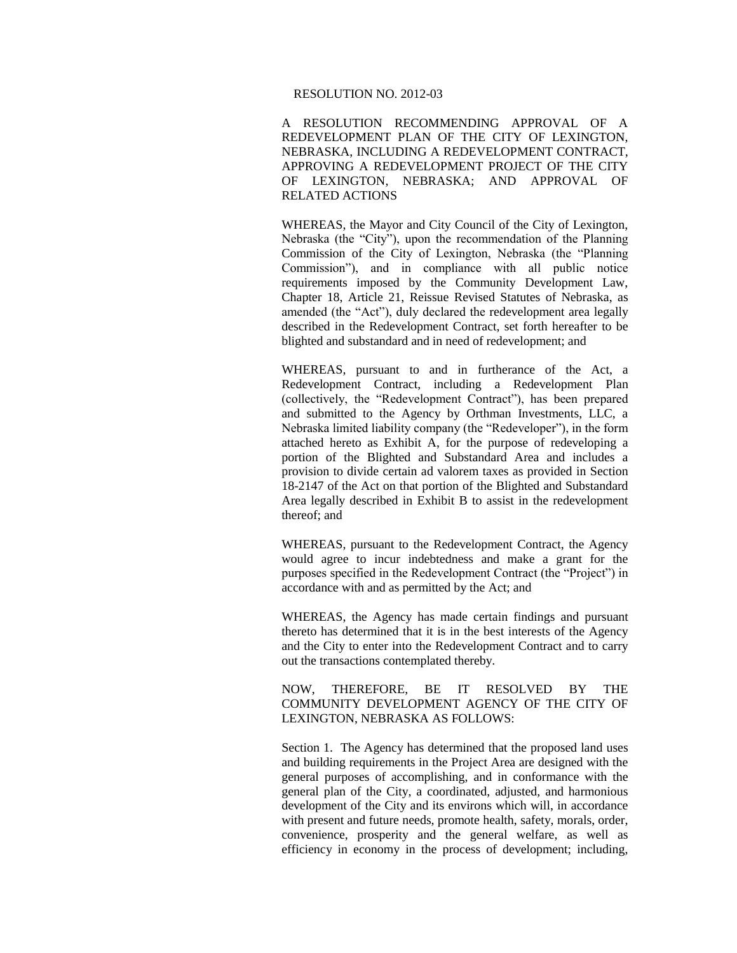#### RESOLUTION NO. 2012-03

A RESOLUTION RECOMMENDING APPROVAL OF A REDEVELOPMENT PLAN OF THE CITY OF LEXINGTON, NEBRASKA, INCLUDING A REDEVELOPMENT CONTRACT, APPROVING A REDEVELOPMENT PROJECT OF THE CITY OF LEXINGTON, NEBRASKA; AND APPROVAL OF RELATED ACTIONS

WHEREAS, the Mayor and City Council of the City of Lexington, Nebraska (the "City"), upon the recommendation of the Planning Commission of the City of Lexington, Nebraska (the "Planning Commission"), and in compliance with all public notice requirements imposed by the Community Development Law, Chapter 18, Article 21, Reissue Revised Statutes of Nebraska, as amended (the "Act"), duly declared the redevelopment area legally described in the Redevelopment Contract, set forth hereafter to be blighted and substandard and in need of redevelopment; and

WHEREAS, pursuant to and in furtherance of the Act, a Redevelopment Contract, including a Redevelopment Plan (collectively, the "Redevelopment Contract"), has been prepared and submitted to the Agency by Orthman Investments, LLC, a Nebraska limited liability company (the "Redeveloper"), in the form attached hereto as Exhibit A, for the purpose of redeveloping a portion of the Blighted and Substandard Area and includes a provision to divide certain ad valorem taxes as provided in Section 18-2147 of the Act on that portion of the Blighted and Substandard Area legally described in Exhibit B to assist in the redevelopment thereof; and

WHEREAS, pursuant to the Redevelopment Contract, the Agency would agree to incur indebtedness and make a grant for the purposes specified in the Redevelopment Contract (the "Project") in accordance with and as permitted by the Act; and

WHEREAS, the Agency has made certain findings and pursuant thereto has determined that it is in the best interests of the Agency and the City to enter into the Redevelopment Contract and to carry out the transactions contemplated thereby.

NOW, THEREFORE, BE IT RESOLVED BY THE COMMUNITY DEVELOPMENT AGENCY OF THE CITY OF LEXINGTON, NEBRASKA AS FOLLOWS:

Section 1. The Agency has determined that the proposed land uses and building requirements in the Project Area are designed with the general purposes of accomplishing, and in conformance with the general plan of the City, a coordinated, adjusted, and harmonious development of the City and its environs which will, in accordance with present and future needs, promote health, safety, morals, order, convenience, prosperity and the general welfare, as well as efficiency in economy in the process of development; including,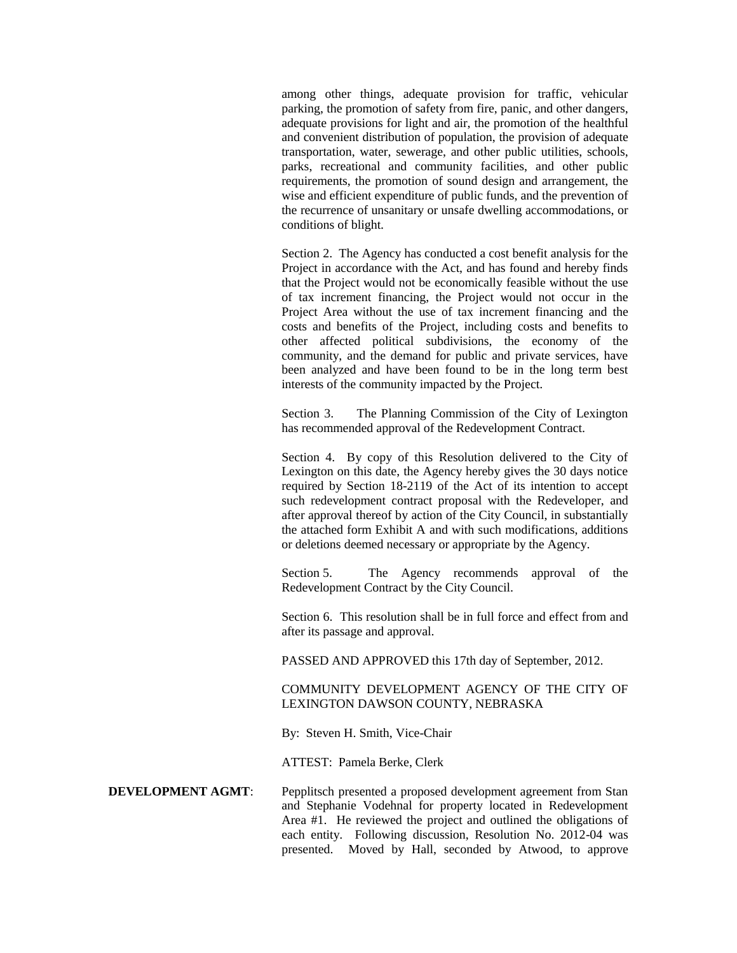among other things, adequate provision for traffic, vehicular parking, the promotion of safety from fire, panic, and other dangers, adequate provisions for light and air, the promotion of the healthful and convenient distribution of population, the provision of adequate transportation, water, sewerage, and other public utilities, schools, parks, recreational and community facilities, and other public requirements, the promotion of sound design and arrangement, the wise and efficient expenditure of public funds, and the prevention of the recurrence of unsanitary or unsafe dwelling accommodations, or conditions of blight.

Section 2. The Agency has conducted a cost benefit analysis for the Project in accordance with the Act, and has found and hereby finds that the Project would not be economically feasible without the use of tax increment financing, the Project would not occur in the Project Area without the use of tax increment financing and the costs and benefits of the Project, including costs and benefits to other affected political subdivisions, the economy of the community, and the demand for public and private services, have been analyzed and have been found to be in the long term best interests of the community impacted by the Project.

Section 3. The Planning Commission of the City of Lexington has recommended approval of the Redevelopment Contract.

Section 4. By copy of this Resolution delivered to the City of Lexington on this date, the Agency hereby gives the 30 days notice required by Section 18-2119 of the Act of its intention to accept such redevelopment contract proposal with the Redeveloper, and after approval thereof by action of the City Council, in substantially the attached form Exhibit A and with such modifications, additions or deletions deemed necessary or appropriate by the Agency.

Section 5. The Agency recommends approval of the Redevelopment Contract by the City Council.

Section 6. This resolution shall be in full force and effect from and after its passage and approval.

PASSED AND APPROVED this 17th day of September, 2012.

## COMMUNITY DEVELOPMENT AGENCY OF THE CITY OF LEXINGTON DAWSON COUNTY, NEBRASKA

By: Steven H. Smith, Vice-Chair

ATTEST: Pamela Berke, Clerk

**DEVELOPMENT AGMT:** Pepplitsch presented a proposed development agreement from Stan and Stephanie Vodehnal for property located in Redevelopment Area #1. He reviewed the project and outlined the obligations of each entity. Following discussion, Resolution No. 2012-04 was presented. Moved by Hall, seconded by Atwood, to approve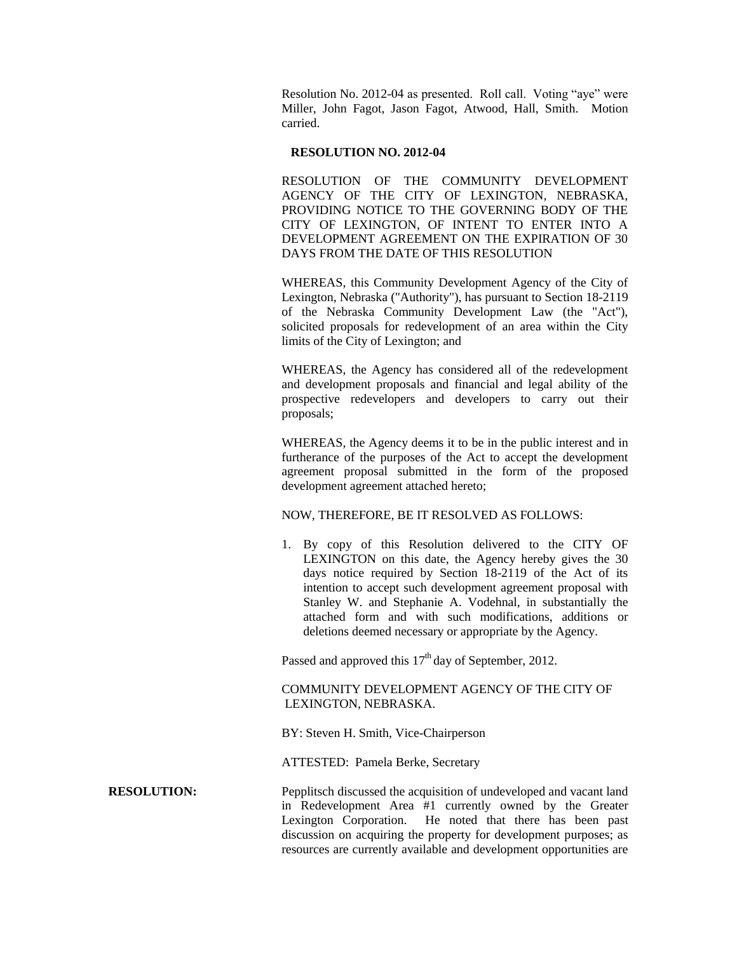Resolution No. 2012-04 as presented. Roll call. Voting "aye" were Miller, John Fagot, Jason Fagot, Atwood, Hall, Smith. Motion carried.

### **RESOLUTION NO. 2012-04**

RESOLUTION OF THE COMMUNITY DEVELOPMENT AGENCY OF THE CITY OF LEXINGTON, NEBRASKA, PROVIDING NOTICE TO THE GOVERNING BODY OF THE CITY OF LEXINGTON, OF INTENT TO ENTER INTO A DEVELOPMENT AGREEMENT ON THE EXPIRATION OF 30 DAYS FROM THE DATE OF THIS RESOLUTION

WHEREAS, this Community Development Agency of the City of Lexington, Nebraska ("Authority"), has pursuant to Section 18-2119 of the Nebraska Community Development Law (the "Act"), solicited proposals for redevelopment of an area within the City limits of the City of Lexington; and

WHEREAS, the Agency has considered all of the redevelopment and development proposals and financial and legal ability of the prospective redevelopers and developers to carry out their proposals;

WHEREAS, the Agency deems it to be in the public interest and in furtherance of the purposes of the Act to accept the development agreement proposal submitted in the form of the proposed development agreement attached hereto;

## NOW, THEREFORE, BE IT RESOLVED AS FOLLOWS:

1. By copy of this Resolution delivered to the CITY OF LEXINGTON on this date, the Agency hereby gives the 30 days notice required by Section 18-2119 of the Act of its intention to accept such development agreement proposal with Stanley W. and Stephanie A. Vodehnal, in substantially the attached form and with such modifications, additions or deletions deemed necessary or appropriate by the Agency.

Passed and approved this  $17<sup>th</sup>$  day of September, 2012.

# COMMUNITY DEVELOPMENT AGENCY OF THE CITY OF LEXINGTON, NEBRASKA.

BY: Steven H. Smith, Vice-Chairperson

ATTESTED: Pamela Berke, Secretary

**RESOLUTION:** Pepplitsch discussed the acquisition of undeveloped and vacant land in Redevelopment Area #1 currently owned by the Greater Lexington Corporation. He noted that there has been past discussion on acquiring the property for development purposes; as resources are currently available and development opportunities are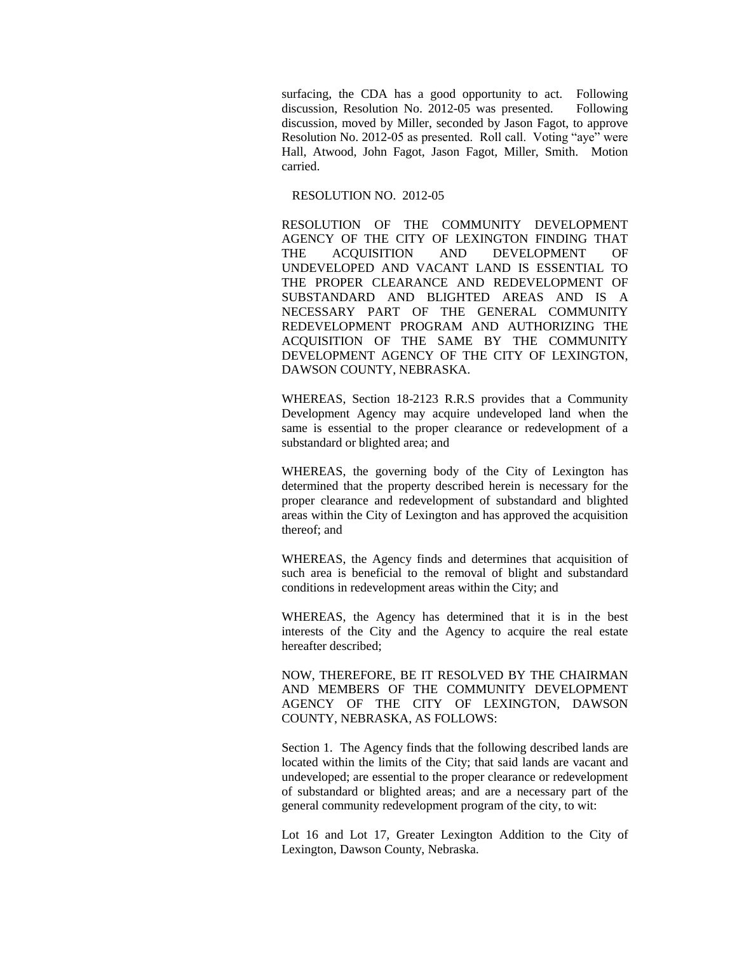surfacing, the CDA has a good opportunity to act. Following discussion, Resolution No. 2012-05 was presented. Following discussion, moved by Miller, seconded by Jason Fagot, to approve Resolution No. 2012-05 as presented. Roll call. Voting "aye" were Hall, Atwood, John Fagot, Jason Fagot, Miller, Smith. Motion carried.

#### RESOLUTION NO. 2012-05

RESOLUTION OF THE COMMUNITY DEVELOPMENT AGENCY OF THE CITY OF LEXINGTON FINDING THAT THE ACQUISITION AND DEVELOPMENT OF UNDEVELOPED AND VACANT LAND IS ESSENTIAL TO THE PROPER CLEARANCE AND REDEVELOPMENT OF SUBSTANDARD AND BLIGHTED AREAS AND IS A NECESSARY PART OF THE GENERAL COMMUNITY REDEVELOPMENT PROGRAM AND AUTHORIZING THE ACQUISITION OF THE SAME BY THE COMMUNITY DEVELOPMENT AGENCY OF THE CITY OF LEXINGTON, DAWSON COUNTY, NEBRASKA.

WHEREAS, Section 18-2123 R.R.S provides that a Community Development Agency may acquire undeveloped land when the same is essential to the proper clearance or redevelopment of a substandard or blighted area; and

WHEREAS, the governing body of the City of Lexington has determined that the property described herein is necessary for the proper clearance and redevelopment of substandard and blighted areas within the City of Lexington and has approved the acquisition thereof; and

WHEREAS, the Agency finds and determines that acquisition of such area is beneficial to the removal of blight and substandard conditions in redevelopment areas within the City; and

WHEREAS, the Agency has determined that it is in the best interests of the City and the Agency to acquire the real estate hereafter described;

NOW, THEREFORE, BE IT RESOLVED BY THE CHAIRMAN AND MEMBERS OF THE COMMUNITY DEVELOPMENT AGENCY OF THE CITY OF LEXINGTON, DAWSON COUNTY, NEBRASKA, AS FOLLOWS:

Section 1. The Agency finds that the following described lands are located within the limits of the City; that said lands are vacant and undeveloped; are essential to the proper clearance or redevelopment of substandard or blighted areas; and are a necessary part of the general community redevelopment program of the city, to wit:

Lot 16 and Lot 17, Greater Lexington Addition to the City of Lexington, Dawson County, Nebraska.